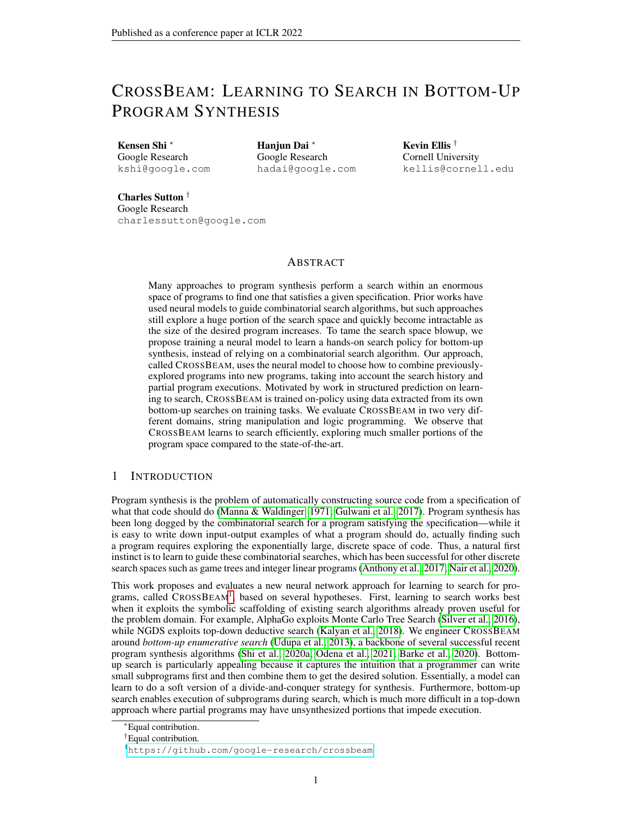# CROSSBEAM: LEARNING TO SEARCH IN BOTTOM-UP PROGRAM SYNTHESIS

Kensen Shi <sup>∗</sup> Google Research kshi@google.com Hanjun Dai <sup>∗</sup> Google Research hadai@google.com Kevin Ellis † Cornell University kellis@cornell.edu

Charles Sutton † Google Research charlessutton@google.com

### ABSTRACT

Many approaches to program synthesis perform a search within an enormous space of programs to find one that satisfies a given specification. Prior works have used neural models to guide combinatorial search algorithms, but such approaches still explore a huge portion of the search space and quickly become intractable as the size of the desired program increases. To tame the search space blowup, we propose training a neural model to learn a hands-on search policy for bottom-up synthesis, instead of relying on a combinatorial search algorithm. Our approach, called CROSSBEAM, uses the neural model to choose how to combine previouslyexplored programs into new programs, taking into account the search history and partial program executions. Motivated by work in structured prediction on learning to search, CROSSBEAM is trained on-policy using data extracted from its own bottom-up searches on training tasks. We evaluate CROSSBEAM in two very different domains, string manipulation and logic programming. We observe that CROSSBEAM learns to search efficiently, exploring much smaller portions of the program space compared to the state-of-the-art.

## 1 INTRODUCTION

Program synthesis is the problem of automatically constructing source code from a specification of what that code should do [\(Manna & Waldinger, 1971;](#page-10-0) [Gulwani et al., 2017\)](#page-10-1). Program synthesis has been long dogged by the combinatorial search for a program satisfying the specification—while it is easy to write down input-output examples of what a program should do, actually finding such a program requires exploring the exponentially large, discrete space of code. Thus, a natural first instinct is to learn to guide these combinatorial searches, which has been successful for other discrete search spaces such as game trees and integer linear programs [\(Anthony et al., 2017;](#page-9-0) [Nair et al., 2020\)](#page-10-2).

This work proposes and evaluates a new neural network approach for learning to search for pro-grams, called CROSSBEAM<sup>[1](#page-0-0)</sup>, based on several hypotheses. First, learning to search works best when it exploits the symbolic scaffolding of existing search algorithms already proven useful for the problem domain. For example, AlphaGo exploits Monte Carlo Tree Search [\(Silver et al., 2016\)](#page-11-0), while NGDS exploits top-down deductive search [\(Kalyan et al., 2018\)](#page-10-3). We engineer CROSSBEAM around *bottom-up enumerative search* [\(Udupa et al., 2013\)](#page-11-1), a backbone of several successful recent program synthesis algorithms [\(Shi et al., 2020a;](#page-11-2) [Odena et al., 2021;](#page-11-3) [Barke et al., 2020\)](#page-9-1). Bottomup search is particularly appealing because it captures the intuition that a programmer can write small subprograms first and then combine them to get the desired solution. Essentially, a model can learn to do a soft version of a divide-and-conquer strategy for synthesis. Furthermore, bottom-up search enables execution of subprograms during search, which is much more difficult in a top-down approach where partial programs may have unsynthesized portions that impede execution.

<sup>∗</sup>Equal contribution.

<sup>†</sup>Equal contribution.

<span id="page-0-0"></span><sup>1</sup><https://github.com/google-research/crossbeam>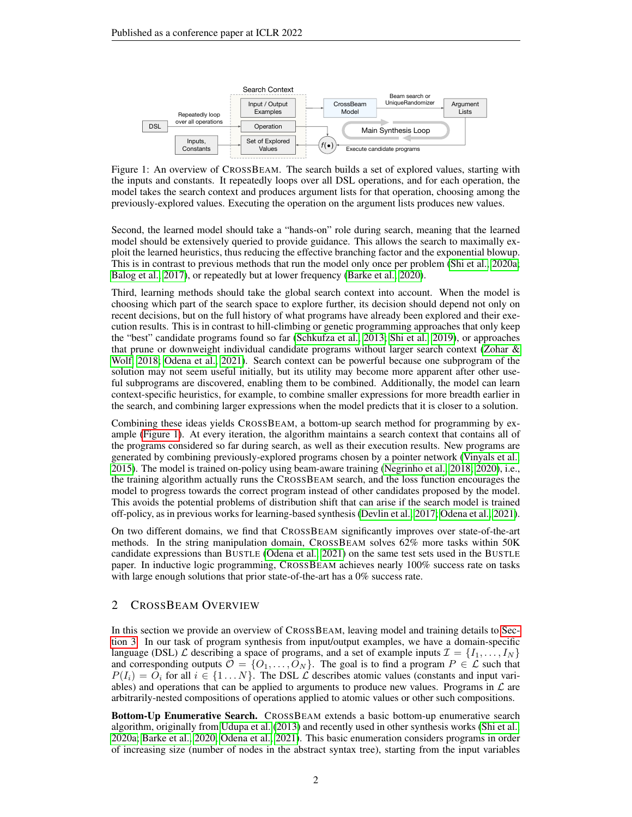<span id="page-1-0"></span>

Figure 1: An overview of CROSSBEAM. The search builds a set of explored values, starting with the inputs and constants. It repeatedly loops over all DSL operations, and for each operation, the model takes the search context and produces argument lists for that operation, choosing among the previously-explored values. Executing the operation on the argument lists produces new values.

Second, the learned model should take a "hands-on" role during search, meaning that the learned model should be extensively queried to provide guidance. This allows the search to maximally exploit the learned heuristics, thus reducing the effective branching factor and the exponential blowup. This is in contrast to previous methods that run the model only once per problem [\(Shi et al., 2020a;](#page-11-2) [Balog et al., 2017\)](#page-9-2), or repeatedly but at lower frequency [\(Barke et al., 2020\)](#page-9-1).

Third, learning methods should take the global search context into account. When the model is choosing which part of the search space to explore further, its decision should depend not only on recent decisions, but on the full history of what programs have already been explored and their execution results. This is in contrast to hill-climbing or genetic programming approaches that only keep the "best" candidate programs found so far [\(Schkufza et al., 2013;](#page-11-4) [Shi et al., 2019\)](#page-11-5), or approaches that prune or downweight individual candidate programs without larger search context (Zohar  $\&$ [Wolf, 2018;](#page-11-6) [Odena et al., 2021\)](#page-11-3). Search context can be powerful because one subprogram of the solution may not seem useful initially, but its utility may become more apparent after other useful subprograms are discovered, enabling them to be combined. Additionally, the model can learn context-specific heuristics, for example, to combine smaller expressions for more breadth earlier in the search, and combining larger expressions when the model predicts that it is closer to a solution.

Combining these ideas yields CROSSBEAM, a bottom-up search method for programming by example [\(Figure 1\)](#page-1-0). At every iteration, the algorithm maintains a search context that contains all of the programs considered so far during search, as well as their execution results. New programs are generated by combining previously-explored programs chosen by a pointer network [\(Vinyals et al.,](#page-11-7) [2015\)](#page-11-7). The model is trained on-policy using beam-aware training [\(Negrinho et al., 2018;](#page-11-8) [2020\)](#page-11-9), i.e., the training algorithm actually runs the CROSSBEAM search, and the loss function encourages the model to progress towards the correct program instead of other candidates proposed by the model. This avoids the potential problems of distribution shift that can arise if the search model is trained off-policy, as in previous works for learning-based synthesis [\(Devlin et al., 2017;](#page-10-4) [Odena et al., 2021\)](#page-11-3).

On two different domains, we find that CROSSBEAM significantly improves over state-of-the-art methods. In the string manipulation domain, CROSSBEAM solves 62% more tasks within 50K candidate expressions than BUSTLE [\(Odena et al., 2021\)](#page-11-3) on the same test sets used in the BUSTLE paper. In inductive logic programming, CROSSBEAM achieves nearly 100% success rate on tasks with large enough solutions that prior state-of-the-art has a 0% success rate.

# <span id="page-1-1"></span>2 CROSSBEAM OVERVIEW

In this section we provide an overview of CROSSBEAM, leaving model and training details to [Sec](#page-3-0)[tion 3.](#page-3-0) In our task of program synthesis from input/output examples, we have a domain-specific language (DSL)  $\mathcal L$  describing a space of programs, and a set of example inputs  $\mathcal I = \{I_1, \ldots, I_N\}$ and corresponding outputs  $\mathcal{O} = \{O_1, \ldots, O_N\}$ . The goal is to find a program  $P \in \mathcal{L}$  such that  $P(I_i) = O_i$  for all  $i \in \{1...N\}$ . The DSL  $\mathcal L$  describes atomic values (constants and input variables) and operations that can be applied to arguments to produce new values. Programs in  $\mathcal L$  are arbitrarily-nested compositions of operations applied to atomic values or other such compositions.

Bottom-Up Enumerative Search. CROSSBEAM extends a basic bottom-up enumerative search algorithm, originally from [Udupa et al.](#page-11-1) [\(2013\)](#page-11-1) and recently used in other synthesis works [\(Shi et al.,](#page-11-2) [2020a;](#page-11-2) [Barke et al., 2020;](#page-9-1) [Odena et al., 2021\)](#page-11-3). This basic enumeration considers programs in order of increasing size (number of nodes in the abstract syntax tree), starting from the input variables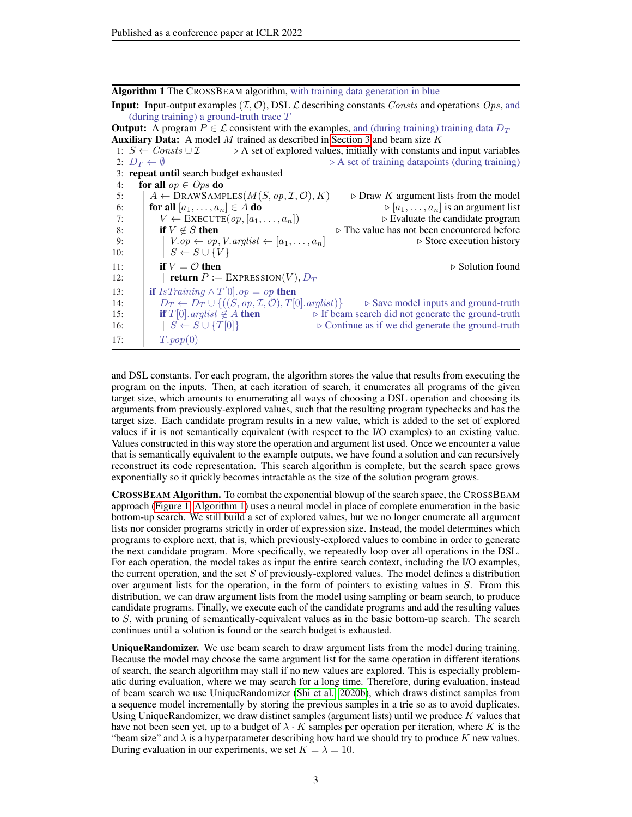Algorithm 1 The CROSSBEAM algorithm, with training data generation in blue

<span id="page-2-0"></span>**Input:** Input-output examples  $(\mathcal{I}, \mathcal{O})$ , DSL  $\mathcal{L}$  describing constants *Consts* and operations *Ops*, and (during training) a ground-truth trace  $T$ 

**Output:** A program  $P \in \mathcal{L}$  consistent with the examples, and (during training) training data  $D_T$ **Auxiliary Data:** A model M trained as described in [Section 3](#page-3-0) and beam size  $K$ 1:  $S \leftarrow Consts \cup \mathcal{I}$   $\triangleright$  A set of explored values, initially with constants and input variables<br>2:  $D_T \leftarrow \emptyset$   $\triangleright$  A set of training datapoints (during training)  $\triangleright$  A set of training datapoints (during training) 3: repeat until search budget exhausted 4: **for all**  $op \in Ops$  **do** 5:  $A \leftarrow \text{DRAWSAMPLES}(M(S, op, \mathcal{I}, \mathcal{O}), K)$   $\rightarrow$  Draw K argument lists from the model 6: for all  $[a_1, \ldots, a_n] \in A$  do<br>  $\forall [a_1, \ldots, a_n]$  is an argument list<br>  $\forall [a_1, \ldots, a_n]$  is an argument list<br>  $\forall$  Evaluate the candidate program  $V \leftarrow$  EXECUTE $(op, [a_1, \ldots, a_n])$ <br>if  $V \not\in S$  then 8: if  $V \notin S$  then  $\triangleright$  The value has not been encountered before 9:  $V \cdot op \leftarrow op, V. arglist \leftarrow [a_1, \ldots, a_n]$   $\triangleright$  Store execution history 10:  $\vert \vert$   $\vert$   $S \leftarrow S \cup \{V\}$ 11: **if**  $V = \mathcal{O}$  then  $\triangleright$  Solution found 12: **return**  $P := \text{EXPRESSION}(V), D_T$ 13: **if** IsTraining  $\land T[0].op = op$  then 14:  $\left| \begin{array}{c} D_T \leftarrow D_T \cup \{((S, op, \mathcal{I}, \mathcal{O}), T[0].\text{arglist})\} \\ \text{if } T[0].\text{arglist } \notin A \text{ then} \end{array} \right| \right| \geq \text{If beam search did not generate the ground-truth}$ 15: if  $T[0]$ . arglist  $\notin A$  then  $\triangleright$  If beam search did not generate the ground-truth 16:  $\begin{array}{c|c|c|c|c|c|c|c|c} & S & S & \text{for} & S & \text{for} & S & \text{for} & S & \text{for} & S & \text{for} & S & \text{for} & S & \text{for} & S & \text{for} & S & \text{for} & S & \text{for} & S & \text{for} & S & \text{for} & S & \text{for} & S & \text{for} & S & \text{for} & S & \text{for} & S & \text{for} & S & \text{for} & S & \text{for} & S & \text{for} & S & \text{for} & S & \text{for} & S & \text{for} & S & \text{for$ 17:  $|T.pop(0)|$ 

and DSL constants. For each program, the algorithm stores the value that results from executing the program on the inputs. Then, at each iteration of search, it enumerates all programs of the given target size, which amounts to enumerating all ways of choosing a DSL operation and choosing its arguments from previously-explored values, such that the resulting program typechecks and has the target size. Each candidate program results in a new value, which is added to the set of explored values if it is not semantically equivalent (with respect to the I/O examples) to an existing value. Values constructed in this way store the operation and argument list used. Once we encounter a value that is semantically equivalent to the example outputs, we have found a solution and can recursively reconstruct its code representation. This search algorithm is complete, but the search space grows exponentially so it quickly becomes intractable as the size of the solution program grows.

CROSSBEAM Algorithm. To combat the exponential blowup of the search space, the CROSSBEAM approach [\(Figure 1,](#page-1-0) [Algorithm 1\)](#page-2-0) uses a neural model in place of complete enumeration in the basic bottom-up search. We still build a set of explored values, but we no longer enumerate all argument lists nor consider programs strictly in order of expression size. Instead, the model determines which programs to explore next, that is, which previously-explored values to combine in order to generate the next candidate program. More specifically, we repeatedly loop over all operations in the DSL. For each operation, the model takes as input the entire search context, including the I/O examples, the current operation, and the set  $S$  of previously-explored values. The model defines a distribution over argument lists for the operation, in the form of pointers to existing values in S. From this distribution, we can draw argument lists from the model using sampling or beam search, to produce candidate programs. Finally, we execute each of the candidate programs and add the resulting values to  $S$ , with pruning of semantically-equivalent values as in the basic bottom-up search. The search continues until a solution is found or the search budget is exhausted.

UniqueRandomizer. We use beam search to draw argument lists from the model during training. Because the model may choose the same argument list for the same operation in different iterations of search, the search algorithm may stall if no new values are explored. This is especially problematic during evaluation, where we may search for a long time. Therefore, during evaluation, instead of beam search we use UniqueRandomizer [\(Shi et al., 2020b\)](#page-11-10), which draws distinct samples from a sequence model incrementally by storing the previous samples in a trie so as to avoid duplicates. Using UniqueRandomizer, we draw distinct samples (argument lists) until we produce  $K$  values that have not been seen yet, up to a budget of  $\lambda \cdot K$  samples per operation per iteration, where K is the "beam size" and  $\lambda$  is a hyperparameter describing how hard we should try to produce K new values. During evaluation in our experiments, we set  $K = \lambda = 10$ .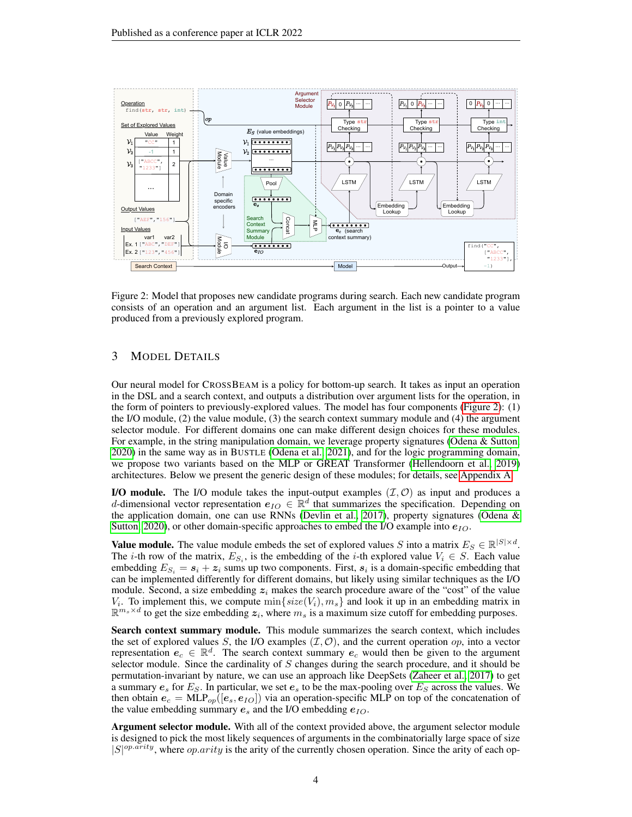

<span id="page-3-1"></span>Figure 2: Model that proposes new candidate programs during search. Each new candidate program consists of an operation and an argument list. Each argument in the list is a pointer to a value produced from a previously explored program.

# <span id="page-3-0"></span>3 MODEL DETAILS

Our neural model for CROSSBEAM is a policy for bottom-up search. It takes as input an operation in the DSL and a search context, and outputs a distribution over argument lists for the operation, in the form of pointers to previously-explored values. The model has four components [\(Figure 2\)](#page-3-1): (1) the I/O module, (2) the value module, (3) the search context summary module and (4) the argument selector module. For different domains one can make different design choices for these modules. For example, in the string manipulation domain, we leverage property signatures [\(Odena & Sutton,](#page-11-11) [2020\)](#page-11-11) in the same way as in BUSTLE [\(Odena et al., 2021\)](#page-11-3), and for the logic programming domain, we propose two variants based on the MLP or GREAT Transformer [\(Hellendoorn et al., 2019\)](#page-10-5) architectures. Below we present the generic design of these modules; for details, see [Appendix A.](#page-12-0)

I/O module. The I/O module takes the input-output examples  $(\mathcal{I}, \mathcal{O})$  as input and produces a d-dimensional vector representation  $e_{IO} \in \mathbb{R}^d$  that summarizes the specification. Depending on the application domain, one can use RNNs [\(Devlin et al., 2017\)](#page-10-4), property signatures [\(Odena &](#page-11-11) [Sutton, 2020\)](#page-11-11), or other domain-specific approaches to embed the I/O example into  $e_{IO}$ .

**Value module.** The value module embeds the set of explored values S into a matrix  $E_S \in \mathbb{R}^{|S| \times d}$ . The *i*-th row of the matrix,  $E_{S_i}$ , is the embedding of the *i*-th explored value  $V_i \in S$ . Each value embedding  $E_{S_i} = s_i + z_i$  sums up two components. First,  $s_i$  is a domain-specific embedding that can be implemented differently for different domains, but likely using similar techniques as the I/O module. Second, a size embedding  $z_i$  makes the search procedure aware of the "cost" of the value  $V_i$ . To implement this, we compute  $\min\{size(V_i), m_s\}$  and look it up in an embedding matrix in  $\mathbb{R}^{m_s \times d}$  to get the size embedding  $z_i$ , where  $m_s$  is a maximum size cutoff for embedding purposes.

Search context summary module. This module summarizes the search context, which includes the set of explored values S, the I/O examples  $(\mathcal{I}, \mathcal{O})$ , and the current operation op, into a vector representation  $e_c \in \mathbb{R}^d$ . The search context summary  $e_c$  would then be given to the argument selector module. Since the cardinality of S changes during the search procedure, and it should be permutation-invariant by nature, we can use an approach like DeepSets [\(Zaheer et al., 2017\)](#page-11-12) to get a summary  $e_s$  for  $E_S$ . In particular, we set  $e_s$  to be the max-pooling over  $E_S$  across the values. We then obtain  $e_c = \text{MLP}_{op}([e_s, e_{IO}])$  via an operation-specific MLP on top of the concatenation of the value embedding summary  $e_s$  and the I/O embedding  $e_{IO}$ .

Argument selector module. With all of the context provided above, the argument selector module is designed to pick the most likely sequences of arguments in the combinatorially large space of size  $|S|^{op.arity}$ , where  $op.arity$  is the arity of the currently chosen operation. Since the arity of each op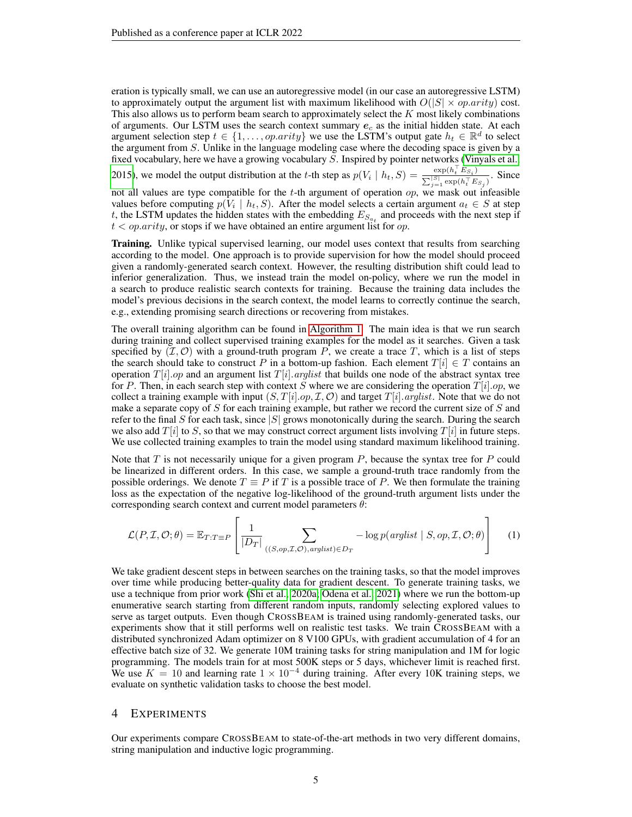eration is typically small, we can use an autoregressive model (in our case an autoregressive LSTM) to approximately output the argument list with maximum likelihood with  $O(|S| \times op.array)$  cost. This also allows us to perform beam search to approximately select the  $K$  most likely combinations of arguments. Our LSTM uses the search context summary  $e_c$  as the initial hidden state. At each argument selection step  $t \in \{1, ..., op.arity\}$  we use the LSTM's output gate  $h_t \in \mathbb{R}^d$  to select the argument from S. Unlike in the language modeling case where the decoding space is given by a fixed vocabulary, here we have a growing vocabulary S. Inspired by pointer networks [\(Vinyals et al.,](#page-11-7) [2015\)](#page-11-7), we model the output distribution at the t-th step as  $p(V_i \mid h_t, S) = \frac{\exp(h_i^{\top} E_{S_i})}{\sum_{i} |S| \cdot \exp(h_i^{\top} E_{S_i})}$  $\frac{\exp(n_t - ES_i)}{\sum_{j=1}^{|S|} \exp(n_t^\top ES_j)}$ . Since not all values are type compatible for the  $t$ -th argument of operation  $op$ , we mask out infeasible values before computing  $p(V_i \mid h_t, S)$ . After the model selects a certain argument  $a_t \in S$  at step

 $t < op.arity$ , or stops if we have obtained an entire argument list for  $op.$ Training. Unlike typical supervised learning, our model uses context that results from searching according to the model. One approach is to provide supervision for how the model should proceed given a randomly-generated search context. However, the resulting distribution shift could lead to inferior generalization. Thus, we instead train the model on-policy, where we run the model in a search to produce realistic search contexts for training. Because the training data includes the

model's previous decisions in the search context, the model learns to correctly continue the search,

e.g., extending promising search directions or recovering from mistakes.

t, the LSTM updates the hidden states with the embedding  $E_{S_{a_t}}$  and proceeds with the next step if

The overall training algorithm can be found in [Algorithm 1.](#page-2-0) The main idea is that we run search during training and collect supervised training examples for the model as it searches. Given a task specified by  $(\mathcal{I}, \mathcal{O})$  with a ground-truth program P, we create a trace T, which is a list of steps the search should take to construct P in a bottom-up fashion. Each element  $T[i] \in T$  contains an operation  $T[i].op$  and an argument list  $T[i].arglist$  that builds one node of the abstract syntax tree for P. Then, in each search step with context S where we are considering the operation  $T[i].op$ , we collect a training example with input  $(S, T[i].op, \mathcal{I}, \mathcal{O})$  and target  $T[i].arglist$ . Note that we do not make a separate copy of S for each training example, but rather we record the current size of S and refer to the final S for each task, since  $|S|$  grows monotonically during the search. During the search we also add  $T[i]$  to S, so that we may construct correct argument lists involving  $T[i]$  in future steps. We use collected training examples to train the model using standard maximum likelihood training.

Note that  $T$  is not necessarily unique for a given program  $P$ , because the syntax tree for  $P$  could be linearized in different orders. In this case, we sample a ground-truth trace randomly from the possible orderings. We denote  $T \equiv P$  if T is a possible trace of P. We then formulate the training loss as the expectation of the negative log-likelihood of the ground-truth argument lists under the corresponding search context and current model parameters  $\theta$ :

$$
\mathcal{L}(P, \mathcal{I}, \mathcal{O}; \theta) = \mathbb{E}_{T: T \equiv P} \left[ \frac{1}{|D_T|} \sum_{((S, op, \mathcal{I}, \mathcal{O}), arglist) \in D_T} -\log p(\text{arglist} \mid S, op, \mathcal{I}, \mathcal{O}; \theta) \right]
$$
(1)

We take gradient descent steps in between searches on the training tasks, so that the model improves over time while producing better-quality data for gradient descent. To generate training tasks, we use a technique from prior work [\(Shi et al., 2020a;](#page-11-2) [Odena et al., 2021\)](#page-11-3) where we run the bottom-up enumerative search starting from different random inputs, randomly selecting explored values to serve as target outputs. Even though CROSSBEAM is trained using randomly-generated tasks, our experiments show that it still performs well on realistic test tasks. We train CROSSBEAM with a distributed synchronized Adam optimizer on 8 V100 GPUs, with gradient accumulation of 4 for an effective batch size of 32. We generate 10M training tasks for string manipulation and 1M for logic programming. The models train for at most 500K steps or 5 days, whichever limit is reached first. We use  $K = 10$  and learning rate  $1 \times 10^{-4}$  during training. After every 10K training steps, we evaluate on synthetic validation tasks to choose the best model.

### 4 EXPERIMENTS

Our experiments compare CROSSBEAM to state-of-the-art methods in two very different domains, string manipulation and inductive logic programming.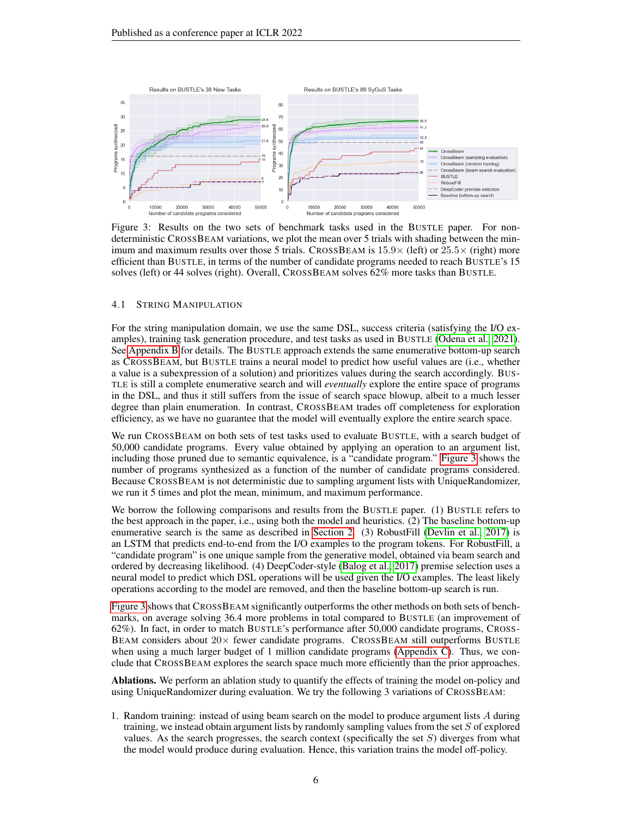

<span id="page-5-0"></span>Figure 3: Results on the two sets of benchmark tasks used in the BUSTLE paper. For nondeterministic CROSSBEAM variations, we plot the mean over 5 trials with shading between the minimum and maximum results over those 5 trials. CROSSBEAM is  $15.9\times$  (left) or  $25.5\times$  (right) more efficient than BUSTLE, in terms of the number of candidate programs needed to reach BUSTLE's 15 solves (left) or 44 solves (right). Overall, CROSSBEAM solves 62% more tasks than BUSTLE.

### <span id="page-5-1"></span>4.1 STRING MANIPULATION

For the string manipulation domain, we use the same DSL, success criteria (satisfying the I/O examples), training task generation procedure, and test tasks as used in BUSTLE [\(Odena et al., 2021\)](#page-11-3). See [Appendix B](#page-13-0) for details. The BUSTLE approach extends the same enumerative bottom-up search as CROSSBEAM, but BUSTLE trains a neural model to predict how useful values are (i.e., whether a value is a subexpression of a solution) and prioritizes values during the search accordingly. BUS-TLE is still a complete enumerative search and will *eventually* explore the entire space of programs in the DSL, and thus it still suffers from the issue of search space blowup, albeit to a much lesser degree than plain enumeration. In contrast, CROSSBEAM trades off completeness for exploration efficiency, as we have no guarantee that the model will eventually explore the entire search space.

We run CROSSBEAM on both sets of test tasks used to evaluate BUSTLE, with a search budget of 50,000 candidate programs. Every value obtained by applying an operation to an argument list, including those pruned due to semantic equivalence, is a "candidate program." [Figure 3](#page-5-0) shows the number of programs synthesized as a function of the number of candidate programs considered. Because CROSSBEAM is not deterministic due to sampling argument lists with UniqueRandomizer, we run it 5 times and plot the mean, minimum, and maximum performance.

We borrow the following comparisons and results from the BUSTLE paper. (1) BUSTLE refers to the best approach in the paper, i.e., using both the model and heuristics. (2) The baseline bottom-up enumerative search is the same as described in [Section 2.](#page-1-1) (3) RobustFill [\(Devlin et al., 2017\)](#page-10-4) is an LSTM that predicts end-to-end from the I/O examples to the program tokens. For RobustFill, a "candidate program" is one unique sample from the generative model, obtained via beam search and ordered by decreasing likelihood. (4) DeepCoder-style [\(Balog et al., 2017\)](#page-9-2) premise selection uses a neural model to predict which DSL operations will be used given the I/O examples. The least likely operations according to the model are removed, and then the baseline bottom-up search is run.

[Figure 3](#page-5-0) shows that CROSSBEAM significantly outperforms the other methods on both sets of benchmarks, on average solving 36.4 more problems in total compared to BUSTLE (an improvement of 62%). In fact, in order to match BUSTLE's performance after 50,000 candidate programs, CROSS-BEAM considers about  $20 \times$  fewer candidate programs. CROSSBEAM still outperforms BUSTLE when using a much larger budget of 1 million candidate programs [\(Appendix C\)](#page-13-1). Thus, we conclude that CROSSBEAM explores the search space much more efficiently than the prior approaches.

Ablations. We perform an ablation study to quantify the effects of training the model on-policy and using UniqueRandomizer during evaluation. We try the following 3 variations of CROSSBEAM:

1. Random training: instead of using beam search on the model to produce argument lists A during training, we instead obtain argument lists by randomly sampling values from the set S of explored values. As the search progresses, the search context (specifically the set  $S$ ) diverges from what the model would produce during evaluation. Hence, this variation trains the model off-policy.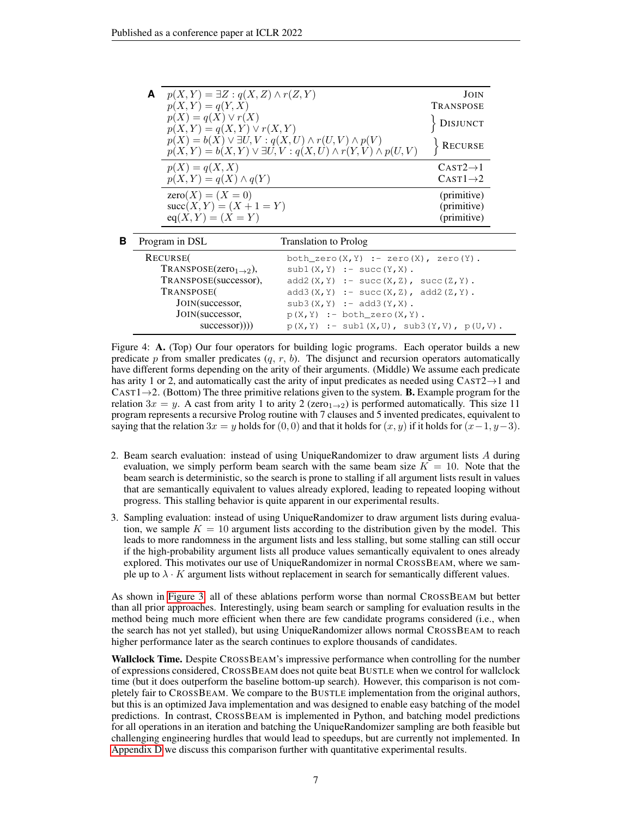| A                 | $p(X,Y) = \exists Z : q(X,Z) \wedge r(Z,Y)$              |                                                                                                                                                       | JOIN                                                                                                                                                                                                                                                                                                                                                                                 |
|-------------------|----------------------------------------------------------|-------------------------------------------------------------------------------------------------------------------------------------------------------|--------------------------------------------------------------------------------------------------------------------------------------------------------------------------------------------------------------------------------------------------------------------------------------------------------------------------------------------------------------------------------------|
|                   | $p(X, Y) = q(Y, X)$                                      |                                                                                                                                                       | <b>TRANSPOSE</b>                                                                                                                                                                                                                                                                                                                                                                     |
|                   | $p(X) = q(X) \vee r(X)$<br>$p(X,Y) = q(X,Y) \vee r(X,Y)$ |                                                                                                                                                       | <b>DISJUNCT</b>                                                                                                                                                                                                                                                                                                                                                                      |
|                   |                                                          | $p(X) = b(X) \vee \exists U, V : q(X, U) \wedge r(U, V) \wedge p(V)$<br>$p(X, Y) = b(X, Y) \vee \exists U, V : q(X, U) \wedge r(Y, V) \wedge p(U, V)$ | <b>RECURSE</b>                                                                                                                                                                                                                                                                                                                                                                       |
|                   | $p(X) = q(X, X)$                                         |                                                                                                                                                       | $CAST2\rightarrow 1$                                                                                                                                                                                                                                                                                                                                                                 |
|                   | $p(X, Y) = q(X) \wedge q(Y)$                             |                                                                                                                                                       | $CAST1\rightarrow 2$                                                                                                                                                                                                                                                                                                                                                                 |
|                   | $zero(X) = (X = 0)$                                      |                                                                                                                                                       | (primitive)                                                                                                                                                                                                                                                                                                                                                                          |
|                   | $succ(X, Y) = (X + 1 = Y)$                               |                                                                                                                                                       | (primitive)                                                                                                                                                                                                                                                                                                                                                                          |
|                   | $eq(X, Y) = (X = Y)$                                     |                                                                                                                                                       | (primitive)                                                                                                                                                                                                                                                                                                                                                                          |
| Program in DSL    |                                                          | Translation to Prolog                                                                                                                                 |                                                                                                                                                                                                                                                                                                                                                                                      |
| $D$ <i>poupop</i> |                                                          |                                                                                                                                                       | $\overline{1}$ $\overline{1}$ $\overline{1}$ $\overline{1}$ $\overline{1}$ $\overline{1}$ $\overline{1}$ $\overline{1}$ $\overline{1}$ $\overline{1}$ $\overline{1}$ $\overline{1}$ $\overline{1}$ $\overline{1}$ $\overline{1}$ $\overline{1}$ $\overline{1}$ $\overline{1}$ $\overline{1}$ $\overline{1}$ $\overline{1}$ $\overline{1}$ $\overline{1}$ $\overline{1}$ $\overline{$ |

<span id="page-6-0"></span>

| RECURSE(                                 | both zero $(X, Y)$ :- zero $(X)$ , zero $(Y)$ . |  |  |  |
|------------------------------------------|-------------------------------------------------|--|--|--|
| $ext{TRANSPOSE}(zero_{1\rightarrow 2}),$ | $sub1(X,Y)$ :- succ(Y,X).                       |  |  |  |
| TRANSPOSE(successor),                    | $add2(X,Y) := succ(X,Z), succ(Z,Y).$            |  |  |  |
| TRANSPOSE <sub>(</sub>                   | $add3(X,Y) :- succ(X,Z), add2(Z,Y).$            |  |  |  |
| JOIN(successor,                          | $sub3(X,Y)$ :- add3(Y,X).                       |  |  |  |
| JOIN(successor,                          | $p(X, Y)$ :- both_zero $(X, Y)$ .               |  |  |  |
| successor)))                             | $p(X, Y)$ :- subl(X,U), sub3(Y,V), $p(U, V)$ .  |  |  |  |

Figure 4: A. (Top) Our four operators for building logic programs. Each operator builds a new predicate p from smaller predicates  $(q, r, b)$ . The disjunct and recursion operators automatically have different forms depending on the arity of their arguments. (Middle) We assume each predicate has arity 1 or 2, and automatically cast the arity of input predicates as needed using  $CAST2 \rightarrow 1$  and  $CAST1\rightarrow 2$ . (Bottom) The three primitive relations given to the system. **B.** Example program for the relation  $3x = y$ . A cast from arity 1 to arity 2 (zero<sub>1→2</sub>) is performed automatically. This size 11 program represents a recursive Prolog routine with 7 clauses and 5 invented predicates, equivalent to saying that the relation  $3x = y$  holds for  $(0, 0)$  and that it holds for  $(x, y)$  if it holds for  $(x-1, y-3)$ .

- 2. Beam search evaluation: instead of using UniqueRandomizer to draw argument lists A during evaluation, we simply perform beam search with the same beam size  $K = 10$ . Note that the beam search is deterministic, so the search is prone to stalling if all argument lists result in values that are semantically equivalent to values already explored, leading to repeated looping without progress. This stalling behavior is quite apparent in our experimental results.
- 3. Sampling evaluation: instead of using UniqueRandomizer to draw argument lists during evaluation, we sample  $K = 10$  argument lists according to the distribution given by the model. This leads to more randomness in the argument lists and less stalling, but some stalling can still occur if the high-probability argument lists all produce values semantically equivalent to ones already explored. This motivates our use of UniqueRandomizer in normal CROSSBEAM, where we sample up to  $\lambda \cdot K$  argument lists without replacement in search for semantically different values.

As shown in [Figure 3,](#page-5-0) all of these ablations perform worse than normal CROSSBEAM but better than all prior approaches. Interestingly, using beam search or sampling for evaluation results in the method being much more efficient when there are few candidate programs considered (i.e., when the search has not yet stalled), but using UniqueRandomizer allows normal CROSSBEAM to reach higher performance later as the search continues to explore thousands of candidates.

Wallclock Time. Despite CROSSBEAM's impressive performance when controlling for the number of expressions considered, CROSSBEAM does not quite beat BUSTLE when we control for wallclock time (but it does outperform the baseline bottom-up search). However, this comparison is not completely fair to CROSSBEAM. We compare to the BUSTLE implementation from the original authors, but this is an optimized Java implementation and was designed to enable easy batching of the model predictions. In contrast, CROSSBEAM is implemented in Python, and batching model predictions for all operations in an iteration and batching the UniqueRandomizer sampling are both feasible but challenging engineering hurdles that would lead to speedups, but are currently not implemented. In [Appendix D](#page-14-0) we discuss this comparison further with quantitative experimental results.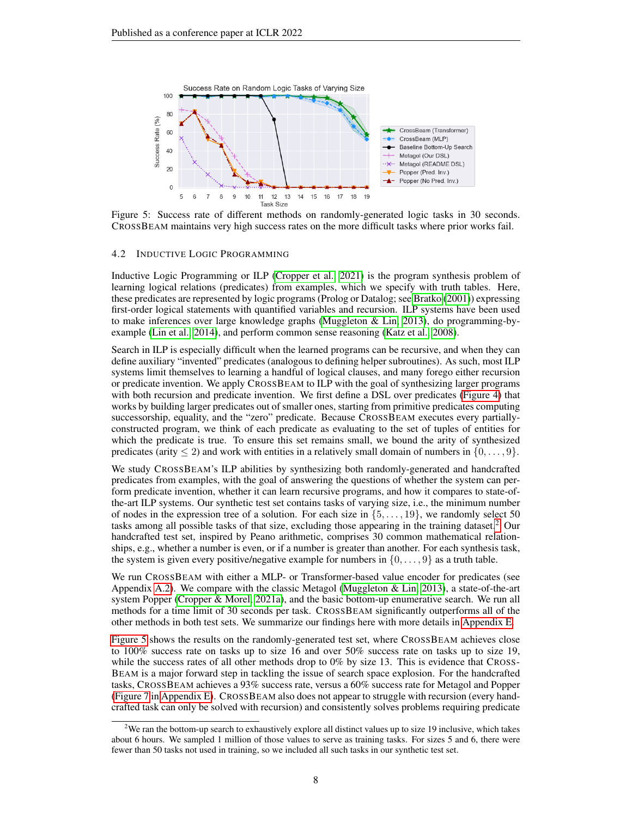<span id="page-7-1"></span>

Figure 5: Success rate of different methods on randomly-generated logic tasks in 30 seconds. CROSSBEAM maintains very high success rates on the more difficult tasks where prior works fail.

#### 4.2 INDUCTIVE LOGIC PROGRAMMING

Inductive Logic Programming or ILP [\(Cropper et al., 2021\)](#page-9-3) is the program synthesis problem of learning logical relations (predicates) from examples, which we specify with truth tables. Here, these predicates are represented by logic programs (Prolog or Datalog; see [Bratko](#page-9-4) [\(2001\)](#page-9-4)) expressing first-order logical statements with quantified variables and recursion. ILP systems have been used to make inferences over large knowledge graphs [\(Muggleton & Lin, 2013\)](#page-10-6), do programming-byexample [\(Lin et al., 2014\)](#page-10-7), and perform common sense reasoning [\(Katz et al., 2008\)](#page-10-8).

Search in ILP is especially difficult when the learned programs can be recursive, and when they can define auxiliary "invented" predicates (analogous to defining helper subroutines). As such, most ILP systems limit themselves to learning a handful of logical clauses, and many forego either recursion or predicate invention. We apply CROSSBEAM to ILP with the goal of synthesizing larger programs with both recursion and predicate invention. We first define a DSL over predicates [\(Figure 4\)](#page-6-0) that works by building larger predicates out of smaller ones, starting from primitive predicates computing successorship, equality, and the "zero" predicate. Because CROSSBEAM executes every partiallyconstructed program, we think of each predicate as evaluating to the set of tuples of entities for which the predicate is true. To ensure this set remains small, we bound the arity of synthesized predicates (arity  $\leq 2$ ) and work with entities in a relatively small domain of numbers in  $\{0, \ldots, 9\}$ .

We study CROSSBEAM's ILP abilities by synthesizing both randomly-generated and handcrafted predicates from examples, with the goal of answering the questions of whether the system can perform predicate invention, whether it can learn recursive programs, and how it compares to state-ofthe-art ILP systems. Our synthetic test set contains tasks of varying size, i.e., the minimum number of nodes in the expression tree of a solution. For each size in  $\{5, \ldots, 19\}$ , we randomly select 50 tasks among all possible tasks of that size, excluding those appearing in the training dataset.[2](#page-7-0) Our handcrafted test set, inspired by Peano arithmetic, comprises 30 common mathematical relationships, e.g., whether a number is even, or if a number is greater than another. For each synthesis task, the system is given every positive/negative example for numbers in  $\{0, \ldots, 9\}$  as a truth table.

We run CROSSBEAM with either a MLP- or Transformer-based value encoder for predicates (see Appendix [A.2\)](#page-12-1). We compare with the classic Metagol (Muggleton  $& Lin, 2013$ ), a state-of-the-art system Popper [\(Cropper & Morel, 2021a\)](#page-9-5), and the basic bottom-up enumerative search. We run all methods for a time limit of 30 seconds per task. CROSSBEAM significantly outperforms all of the other methods in both test sets. We summarize our findings here with more details in [Appendix E.](#page-14-1)

[Figure 5](#page-7-1) shows the results on the randomly-generated test set, where CROSSBEAM achieves close to 100% success rate on tasks up to size 16 and over 50% success rate on tasks up to size 19, while the success rates of all other methods drop to 0% by size 13. This is evidence that CROSS-BEAM is a major forward step in tackling the issue of search space explosion. For the handcrafted tasks, CROSSBEAM achieves a 93% success rate, versus a 60% success rate for Metagol and Popper [\(Figure 7](#page-15-0) in [Appendix E\)](#page-14-1). CROSSBEAM also does not appear to struggle with recursion (every handcrafted task can only be solved with recursion) and consistently solves problems requiring predicate

<span id="page-7-0"></span><sup>&</sup>lt;sup>2</sup>We ran the bottom-up search to exhaustively explore all distinct values up to size 19 inclusive, which takes about 6 hours. We sampled 1 million of those values to serve as training tasks. For sizes 5 and 6, there were fewer than 50 tasks not used in training, so we included all such tasks in our synthetic test set.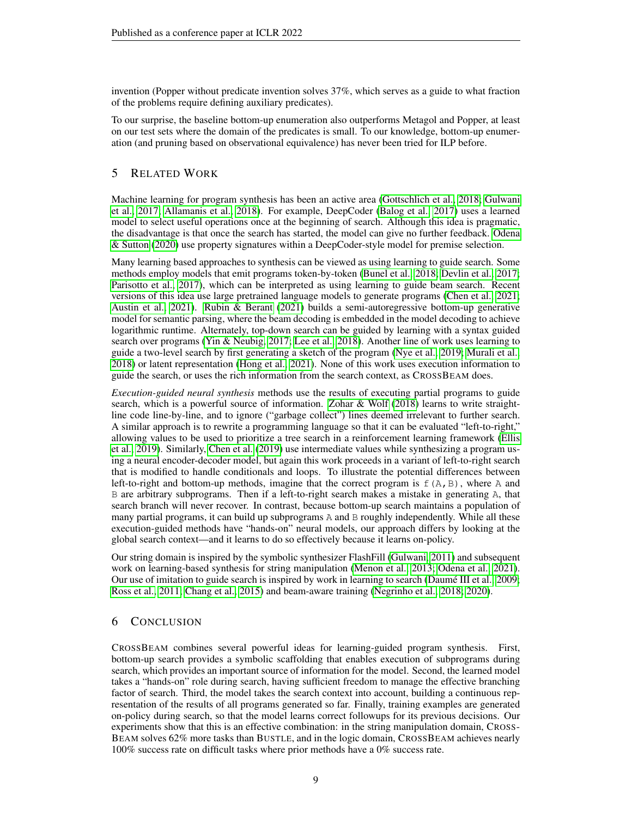invention (Popper without predicate invention solves 37%, which serves as a guide to what fraction of the problems require defining auxiliary predicates).

To our surprise, the baseline bottom-up enumeration also outperforms Metagol and Popper, at least on our test sets where the domain of the predicates is small. To our knowledge, bottom-up enumeration (and pruning based on observational equivalence) has never been tried for ILP before.

# 5 RELATED WORK

Machine learning for program synthesis has been an active area [\(Gottschlich et al., 2018;](#page-10-9) [Gulwani](#page-10-1) [et al., 2017;](#page-10-1) [Allamanis et al., 2018\)](#page-9-6). For example, DeepCoder [\(Balog et al., 2017\)](#page-9-2) uses a learned model to select useful operations once at the beginning of search. Although this idea is pragmatic, the disadvantage is that once the search has started, the model can give no further feedback. [Odena](#page-11-11) [& Sutton](#page-11-11) [\(2020\)](#page-11-11) use property signatures within a DeepCoder-style model for premise selection.

Many learning based approaches to synthesis can be viewed as using learning to guide search. Some methods employ models that emit programs token-by-token [\(Bunel et al., 2018;](#page-9-7) [Devlin et al., 2017;](#page-10-4) [Parisotto et al., 2017\)](#page-11-13), which can be interpreted as using learning to guide beam search. Recent versions of this idea use large pretrained language models to generate programs [\(Chen et al., 2021;](#page-9-8) [Austin et al., 2021\)](#page-9-9). [Rubin & Berant](#page-11-14) [\(2021\)](#page-11-14) builds a semi-autoregressive bottom-up generative model for semantic parsing, where the beam decoding is embedded in the model decoding to achieve logarithmic runtime. Alternately, top-down search can be guided by learning with a syntax guided search over programs [\(Yin & Neubig, 2017;](#page-11-15) [Lee et al., 2018\)](#page-10-10). Another line of work uses learning to guide a two-level search by first generating a sketch of the program [\(Nye et al., 2019;](#page-11-16) [Murali et al.,](#page-10-11) [2018\)](#page-10-11) or latent representation [\(Hong et al., 2021\)](#page-10-12). None of this work uses execution information to guide the search, or uses the rich information from the search context, as CROSSBEAM does.

*Execution-guided neural synthesis* methods use the results of executing partial programs to guide search, which is a powerful source of information. [Zohar & Wolf](#page-11-6) [\(2018\)](#page-11-6) learns to write straightline code line-by-line, and to ignore ("garbage collect") lines deemed irrelevant to further search. A similar approach is to rewrite a programming language so that it can be evaluated "left-to-right," allowing values to be used to prioritize a tree search in a reinforcement learning framework [\(Ellis](#page-10-13) [et al., 2019\)](#page-10-13). Similarly, [Chen et al.](#page-9-10) [\(2019\)](#page-9-10) use intermediate values while synthesizing a program using a neural encoder-decoder model, but again this work proceeds in a variant of left-to-right search that is modified to handle conditionals and loops. To illustrate the potential differences between left-to-right and bottom-up methods, imagine that the correct program is  $f(A, B)$ , where A and B are arbitrary subprograms. Then if a left-to-right search makes a mistake in generating A, that search branch will never recover. In contrast, because bottom-up search maintains a population of many partial programs, it can build up subprograms A and B roughly independently. While all these execution-guided methods have "hands-on" neural models, our approach differs by looking at the global search context—and it learns to do so effectively because it learns on-policy.

Our string domain is inspired by the symbolic synthesizer FlashFill [\(Gulwani, 2011\)](#page-10-14) and subsequent work on learning-based synthesis for string manipulation [\(Menon et al., 2013;](#page-10-15) [Odena et al., 2021\)](#page-11-3). Our use of imitation to guide search is inspired by work in learning to search (Daumé III et al., 2009; [Ross et al., 2011;](#page-11-17) [Chang et al., 2015\)](#page-9-12) and beam-aware training [\(Negrinho et al., 2018;](#page-11-8) [2020\)](#page-11-9).

# 6 CONCLUSION

CROSSBEAM combines several powerful ideas for learning-guided program synthesis. First, bottom-up search provides a symbolic scaffolding that enables execution of subprograms during search, which provides an important source of information for the model. Second, the learned model takes a "hands-on" role during search, having sufficient freedom to manage the effective branching factor of search. Third, the model takes the search context into account, building a continuous representation of the results of all programs generated so far. Finally, training examples are generated on-policy during search, so that the model learns correct followups for its previous decisions. Our experiments show that this is an effective combination: in the string manipulation domain, CROSS-BEAM solves 62% more tasks than BUSTLE, and in the logic domain, CROSSBEAM achieves nearly 100% success rate on difficult tasks where prior methods have a 0% success rate.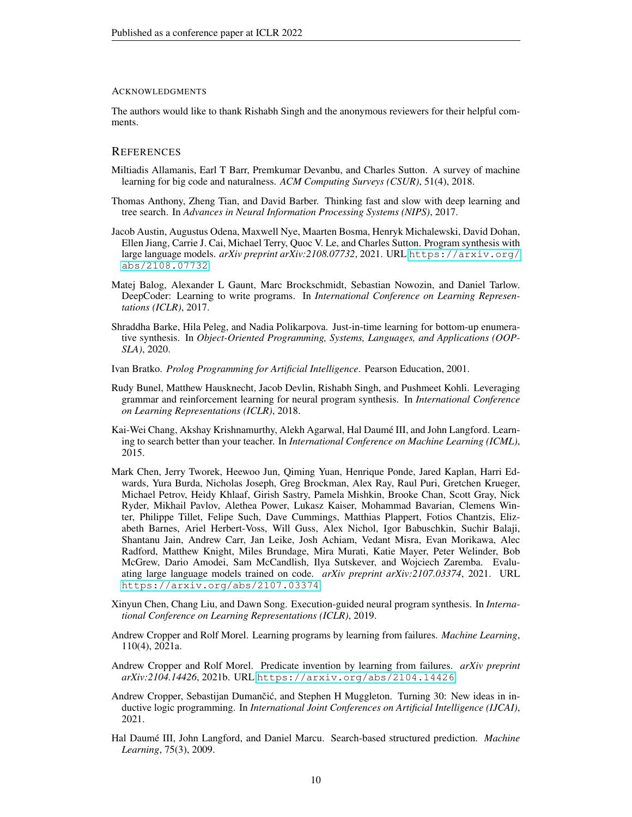#### ACKNOWLEDGMENTS

The authors would like to thank Rishabh Singh and the anonymous reviewers for their helpful comments.

# **REFERENCES**

- <span id="page-9-6"></span>Miltiadis Allamanis, Earl T Barr, Premkumar Devanbu, and Charles Sutton. A survey of machine learning for big code and naturalness. *ACM Computing Surveys (CSUR)*, 51(4), 2018.
- <span id="page-9-0"></span>Thomas Anthony, Zheng Tian, and David Barber. Thinking fast and slow with deep learning and tree search. In *Advances in Neural Information Processing Systems (NIPS)*, 2017.
- <span id="page-9-9"></span>Jacob Austin, Augustus Odena, Maxwell Nye, Maarten Bosma, Henryk Michalewski, David Dohan, Ellen Jiang, Carrie J. Cai, Michael Terry, Quoc V. Le, and Charles Sutton. Program synthesis with large language models. arXiv preprint arXiv:2108.07732, 2021. URL [https://arxiv.org/](https://arxiv.org/abs/2108.07732) [abs/2108.07732](https://arxiv.org/abs/2108.07732).
- <span id="page-9-2"></span>Matej Balog, Alexander L Gaunt, Marc Brockschmidt, Sebastian Nowozin, and Daniel Tarlow. DeepCoder: Learning to write programs. In *International Conference on Learning Representations (ICLR)*, 2017.
- <span id="page-9-1"></span>Shraddha Barke, Hila Peleg, and Nadia Polikarpova. Just-in-time learning for bottom-up enumerative synthesis. In *Object-Oriented Programming, Systems, Languages, and Applications (OOP-SLA)*, 2020.
- <span id="page-9-4"></span>Ivan Bratko. *Prolog Programming for Artificial Intelligence*. Pearson Education, 2001.
- <span id="page-9-7"></span>Rudy Bunel, Matthew Hausknecht, Jacob Devlin, Rishabh Singh, and Pushmeet Kohli. Leveraging grammar and reinforcement learning for neural program synthesis. In *International Conference on Learning Representations (ICLR)*, 2018.
- <span id="page-9-12"></span>Kai-Wei Chang, Akshay Krishnamurthy, Alekh Agarwal, Hal Daume III, and John Langford. Learn- ´ ing to search better than your teacher. In *International Conference on Machine Learning (ICML)*, 2015.
- <span id="page-9-8"></span>Mark Chen, Jerry Tworek, Heewoo Jun, Qiming Yuan, Henrique Ponde, Jared Kaplan, Harri Edwards, Yura Burda, Nicholas Joseph, Greg Brockman, Alex Ray, Raul Puri, Gretchen Krueger, Michael Petrov, Heidy Khlaaf, Girish Sastry, Pamela Mishkin, Brooke Chan, Scott Gray, Nick Ryder, Mikhail Pavlov, Alethea Power, Lukasz Kaiser, Mohammad Bavarian, Clemens Winter, Philippe Tillet, Felipe Such, Dave Cummings, Matthias Plappert, Fotios Chantzis, Elizabeth Barnes, Ariel Herbert-Voss, Will Guss, Alex Nichol, Igor Babuschkin, Suchir Balaji, Shantanu Jain, Andrew Carr, Jan Leike, Josh Achiam, Vedant Misra, Evan Morikawa, Alec Radford, Matthew Knight, Miles Brundage, Mira Murati, Katie Mayer, Peter Welinder, Bob McGrew, Dario Amodei, Sam McCandlish, Ilya Sutskever, and Wojciech Zaremba. Evaluating large language models trained on code. *arXiv preprint arXiv:2107.03374*, 2021. URL <https://arxiv.org/abs/2107.03374>.
- <span id="page-9-10"></span>Xinyun Chen, Chang Liu, and Dawn Song. Execution-guided neural program synthesis. In *International Conference on Learning Representations (ICLR)*, 2019.
- <span id="page-9-5"></span>Andrew Cropper and Rolf Morel. Learning programs by learning from failures. *Machine Learning*, 110(4), 2021a.
- <span id="page-9-13"></span>Andrew Cropper and Rolf Morel. Predicate invention by learning from failures. *arXiv preprint arXiv:2104.14426*, 2021b. URL <https://arxiv.org/abs/2104.14426>.
- <span id="page-9-3"></span>Andrew Cropper, Sebastijan Dumančić, and Stephen H Muggleton. Turning 30: New ideas in inductive logic programming. In *International Joint Conferences on Artificial Intelligence (IJCAI)*, 2021.
- <span id="page-9-11"></span>Hal Daumé III, John Langford, and Daniel Marcu. Search-based structured prediction. *Machine Learning*, 75(3), 2009.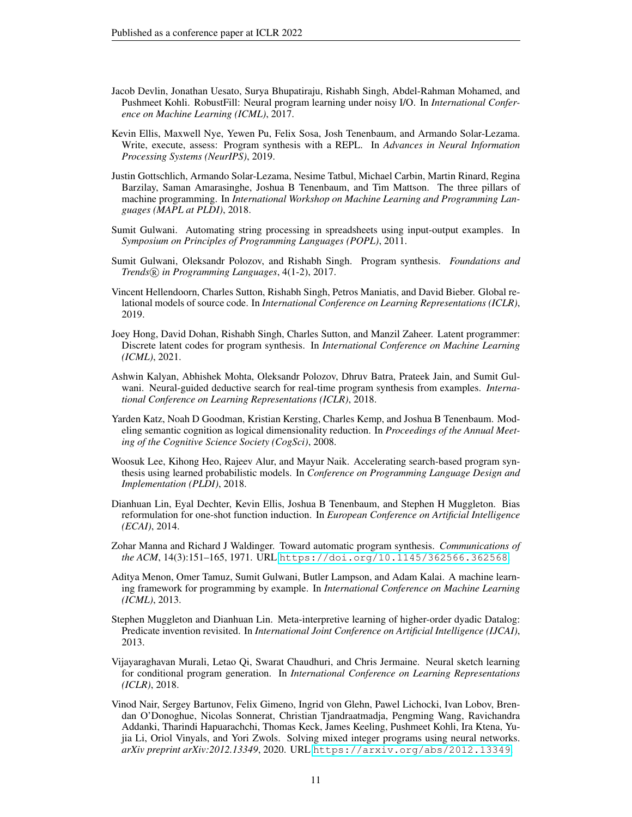- <span id="page-10-4"></span>Jacob Devlin, Jonathan Uesato, Surya Bhupatiraju, Rishabh Singh, Abdel-Rahman Mohamed, and Pushmeet Kohli. RobustFill: Neural program learning under noisy I/O. In *International Conference on Machine Learning (ICML)*, 2017.
- <span id="page-10-13"></span>Kevin Ellis, Maxwell Nye, Yewen Pu, Felix Sosa, Josh Tenenbaum, and Armando Solar-Lezama. Write, execute, assess: Program synthesis with a REPL. In *Advances in Neural Information Processing Systems (NeurIPS)*, 2019.
- <span id="page-10-9"></span>Justin Gottschlich, Armando Solar-Lezama, Nesime Tatbul, Michael Carbin, Martin Rinard, Regina Barzilay, Saman Amarasinghe, Joshua B Tenenbaum, and Tim Mattson. The three pillars of machine programming. In *International Workshop on Machine Learning and Programming Languages (MAPL at PLDI)*, 2018.
- <span id="page-10-14"></span>Sumit Gulwani. Automating string processing in spreadsheets using input-output examples. In *Symposium on Principles of Programming Languages (POPL)*, 2011.
- <span id="page-10-1"></span>Sumit Gulwani, Oleksandr Polozov, and Rishabh Singh. Program synthesis. *Foundations and Trends* <sup>R</sup> *in Programming Languages*, 4(1-2), 2017.
- <span id="page-10-5"></span>Vincent Hellendoorn, Charles Sutton, Rishabh Singh, Petros Maniatis, and David Bieber. Global relational models of source code. In *International Conference on Learning Representations (ICLR)*, 2019.
- <span id="page-10-12"></span>Joey Hong, David Dohan, Rishabh Singh, Charles Sutton, and Manzil Zaheer. Latent programmer: Discrete latent codes for program synthesis. In *International Conference on Machine Learning (ICML)*, 2021.
- <span id="page-10-3"></span>Ashwin Kalyan, Abhishek Mohta, Oleksandr Polozov, Dhruv Batra, Prateek Jain, and Sumit Gulwani. Neural-guided deductive search for real-time program synthesis from examples. *International Conference on Learning Representations (ICLR)*, 2018.
- <span id="page-10-8"></span>Yarden Katz, Noah D Goodman, Kristian Kersting, Charles Kemp, and Joshua B Tenenbaum. Modeling semantic cognition as logical dimensionality reduction. In *Proceedings of the Annual Meeting of the Cognitive Science Society (CogSci)*, 2008.
- <span id="page-10-10"></span>Woosuk Lee, Kihong Heo, Rajeev Alur, and Mayur Naik. Accelerating search-based program synthesis using learned probabilistic models. In *Conference on Programming Language Design and Implementation (PLDI)*, 2018.
- <span id="page-10-7"></span>Dianhuan Lin, Eyal Dechter, Kevin Ellis, Joshua B Tenenbaum, and Stephen H Muggleton. Bias reformulation for one-shot function induction. In *European Conference on Artificial Intelligence (ECAI)*, 2014.
- <span id="page-10-0"></span>Zohar Manna and Richard J Waldinger. Toward automatic program synthesis. *Communications of the ACM*, 14(3):151–165, 1971. URL <https://doi.org/10.1145/362566.362568>.
- <span id="page-10-15"></span>Aditya Menon, Omer Tamuz, Sumit Gulwani, Butler Lampson, and Adam Kalai. A machine learning framework for programming by example. In *International Conference on Machine Learning (ICML)*, 2013.
- <span id="page-10-6"></span>Stephen Muggleton and Dianhuan Lin. Meta-interpretive learning of higher-order dyadic Datalog: Predicate invention revisited. In *International Joint Conference on Artificial Intelligence (IJCAI)*, 2013.
- <span id="page-10-11"></span>Vijayaraghavan Murali, Letao Qi, Swarat Chaudhuri, and Chris Jermaine. Neural sketch learning for conditional program generation. In *International Conference on Learning Representations (ICLR)*, 2018.
- <span id="page-10-2"></span>Vinod Nair, Sergey Bartunov, Felix Gimeno, Ingrid von Glehn, Pawel Lichocki, Ivan Lobov, Brendan O'Donoghue, Nicolas Sonnerat, Christian Tjandraatmadja, Pengming Wang, Ravichandra Addanki, Tharindi Hapuarachchi, Thomas Keck, James Keeling, Pushmeet Kohli, Ira Ktena, Yujia Li, Oriol Vinyals, and Yori Zwols. Solving mixed integer programs using neural networks. *arXiv preprint arXiv:2012.13349*, 2020. URL <https://arxiv.org/abs/2012.13349>.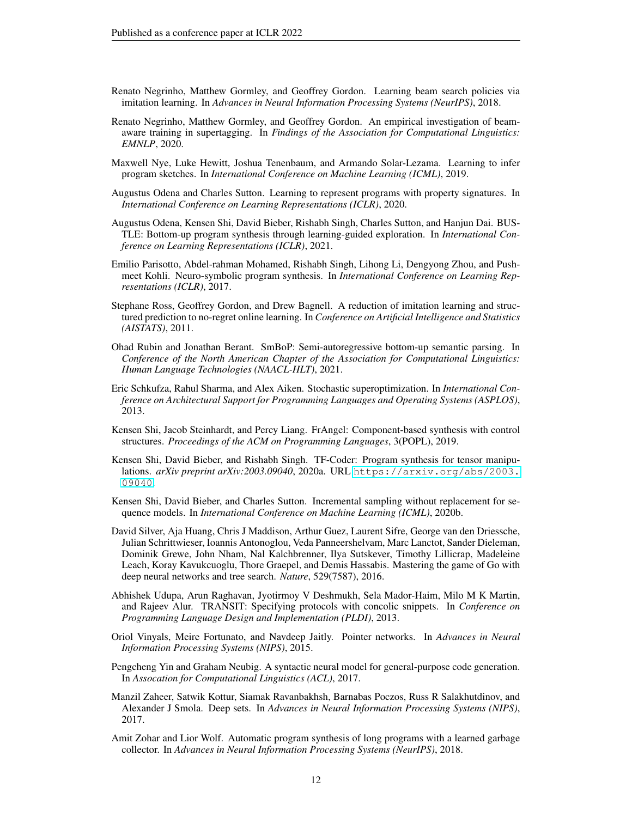- <span id="page-11-8"></span>Renato Negrinho, Matthew Gormley, and Geoffrey Gordon. Learning beam search policies via imitation learning. In *Advances in Neural Information Processing Systems (NeurIPS)*, 2018.
- <span id="page-11-9"></span>Renato Negrinho, Matthew Gormley, and Geoffrey Gordon. An empirical investigation of beamaware training in supertagging. In *Findings of the Association for Computational Linguistics: EMNLP*, 2020.
- <span id="page-11-16"></span>Maxwell Nye, Luke Hewitt, Joshua Tenenbaum, and Armando Solar-Lezama. Learning to infer program sketches. In *International Conference on Machine Learning (ICML)*, 2019.
- <span id="page-11-11"></span>Augustus Odena and Charles Sutton. Learning to represent programs with property signatures. In *International Conference on Learning Representations (ICLR)*, 2020.
- <span id="page-11-3"></span>Augustus Odena, Kensen Shi, David Bieber, Rishabh Singh, Charles Sutton, and Hanjun Dai. BUS-TLE: Bottom-up program synthesis through learning-guided exploration. In *International Conference on Learning Representations (ICLR)*, 2021.
- <span id="page-11-13"></span>Emilio Parisotto, Abdel-rahman Mohamed, Rishabh Singh, Lihong Li, Dengyong Zhou, and Pushmeet Kohli. Neuro-symbolic program synthesis. In *International Conference on Learning Representations (ICLR)*, 2017.
- <span id="page-11-17"></span>Stephane Ross, Geoffrey Gordon, and Drew Bagnell. A reduction of imitation learning and structured prediction to no-regret online learning. In *Conference on Artificial Intelligence and Statistics (AISTATS)*, 2011.
- <span id="page-11-14"></span>Ohad Rubin and Jonathan Berant. SmBoP: Semi-autoregressive bottom-up semantic parsing. In *Conference of the North American Chapter of the Association for Computational Linguistics: Human Language Technologies (NAACL-HLT)*, 2021.
- <span id="page-11-4"></span>Eric Schkufza, Rahul Sharma, and Alex Aiken. Stochastic superoptimization. In *International Conference on Architectural Support for Programming Languages and Operating Systems (ASPLOS)*, 2013.
- <span id="page-11-5"></span>Kensen Shi, Jacob Steinhardt, and Percy Liang. FrAngel: Component-based synthesis with control structures. *Proceedings of the ACM on Programming Languages*, 3(POPL), 2019.
- <span id="page-11-2"></span>Kensen Shi, David Bieber, and Rishabh Singh. TF-Coder: Program synthesis for tensor manipulations. *arXiv preprint arXiv:2003.09040*, 2020a. URL [https://arxiv.org/abs/2003.](https://arxiv.org/abs/2003.09040) [09040](https://arxiv.org/abs/2003.09040).
- <span id="page-11-10"></span>Kensen Shi, David Bieber, and Charles Sutton. Incremental sampling without replacement for sequence models. In *International Conference on Machine Learning (ICML)*, 2020b.
- <span id="page-11-0"></span>David Silver, Aja Huang, Chris J Maddison, Arthur Guez, Laurent Sifre, George van den Driessche, Julian Schrittwieser, Ioannis Antonoglou, Veda Panneershelvam, Marc Lanctot, Sander Dieleman, Dominik Grewe, John Nham, Nal Kalchbrenner, Ilya Sutskever, Timothy Lillicrap, Madeleine Leach, Koray Kavukcuoglu, Thore Graepel, and Demis Hassabis. Mastering the game of Go with deep neural networks and tree search. *Nature*, 529(7587), 2016.
- <span id="page-11-1"></span>Abhishek Udupa, Arun Raghavan, Jyotirmoy V Deshmukh, Sela Mador-Haim, Milo M K Martin, and Rajeev Alur. TRANSIT: Specifying protocols with concolic snippets. In *Conference on Programming Language Design and Implementation (PLDI)*, 2013.
- <span id="page-11-7"></span>Oriol Vinyals, Meire Fortunato, and Navdeep Jaitly. Pointer networks. In *Advances in Neural Information Processing Systems (NIPS)*, 2015.
- <span id="page-11-15"></span>Pengcheng Yin and Graham Neubig. A syntactic neural model for general-purpose code generation. In *Assocation for Computational Linguistics (ACL)*, 2017.
- <span id="page-11-12"></span>Manzil Zaheer, Satwik Kottur, Siamak Ravanbakhsh, Barnabas Poczos, Russ R Salakhutdinov, and Alexander J Smola. Deep sets. In *Advances in Neural Information Processing Systems (NIPS)*, 2017.
- <span id="page-11-6"></span>Amit Zohar and Lior Wolf. Automatic program synthesis of long programs with a learned garbage collector. In *Advances in Neural Information Processing Systems (NeurIPS)*, 2018.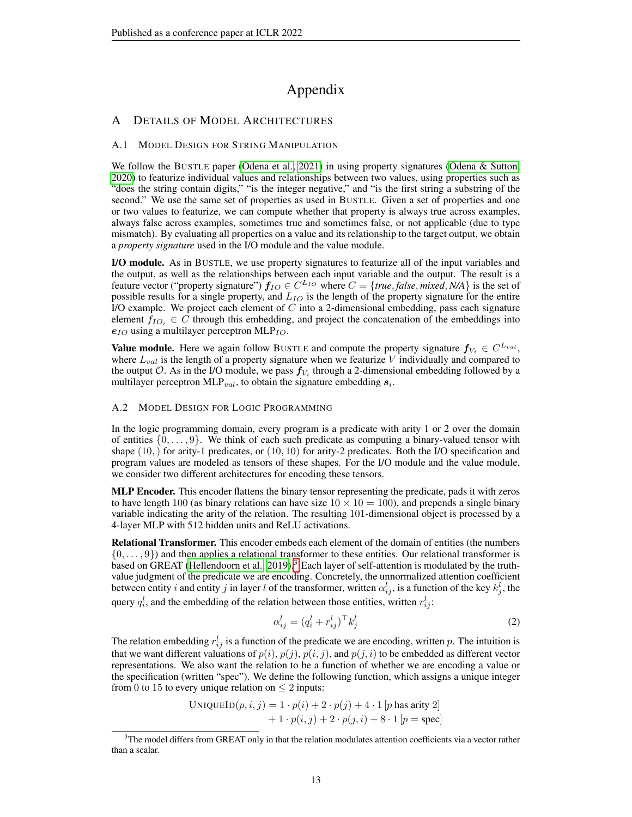# Appendix

# <span id="page-12-0"></span>A DETAILS OF MODEL ARCHITECTURES

### A.1 MODEL DESIGN FOR STRING MANIPULATION

We follow the BUSTLE paper [\(Odena et al., 2021\)](#page-11-3) in using property signatures [\(Odena & Sutton,](#page-11-11) [2020\)](#page-11-11) to featurize individual values and relationships between two values, using properties such as "does the string contain digits," "is the integer negative," and "is the first string a substring of the second." We use the same set of properties as used in BUSTLE. Given a set of properties and one or two values to featurize, we can compute whether that property is always true across examples, always false across examples, sometimes true and sometimes false, or not applicable (due to type mismatch). By evaluating all properties on a value and its relationship to the target output, we obtain a *property signature* used in the I/O module and the value module.

I/O module. As in BUSTLE, we use property signatures to featurize all of the input variables and the output, as well as the relationships between each input variable and the output. The result is a feature vector ("property signature")  $f_{IO} \in C^{L_{IO}}$  where  $C = \{true, false, mixed, N/A\}$  is the set of possible results for a single property, and  $L_{IO}$  is the length of the property signature for the entire I/O example. We project each element of  $C$  into a 2-dimensional embedding, pass each signature element  $f_{IO_i} \in C$  through this embedding, and project the concatenation of the embeddings into  $e_{IO}$  using a multilayer perceptron MLP<sub>IO</sub>.

**Value module.** Here we again follow BUSTLE and compute the property signature  $f_{V_i} \in C^{L_{val}},$ where  $L_{val}$  is the length of a property signature when we featurize V individually and compared to the output  $\mathcal O$ . As in the I/O module, we pass  $f_{V_i}$  through a 2-dimensional embedding followed by a multilayer perceptron MLP<sub>val</sub>, to obtain the signature embedding  $s_i$ .

### <span id="page-12-1"></span>A.2 MODEL DESIGN FOR LOGIC PROGRAMMING

In the logic programming domain, every program is a predicate with arity 1 or 2 over the domain of entities  $\{0, \ldots, 9\}$ . We think of each such predicate as computing a binary-valued tensor with shape  $(10,)$  for arity-1 predicates, or  $(10, 10)$  for arity-2 predicates. Both the I/O specification and program values are modeled as tensors of these shapes. For the I/O module and the value module, we consider two different architectures for encoding these tensors.

**MLP Encoder.** This encoder flattens the binary tensor representing the predicate, pads it with zeros to have length 100 (as binary relations can have size  $10 \times 10 = 100$ ), and prepends a single binary variable indicating the arity of the relation. The resulting 101-dimensional object is processed by a 4-layer MLP with 512 hidden units and ReLU activations.

Relational Transformer. This encoder embeds each element of the domain of entities (the numbers  $\{0, \ldots, 9\}$  and then applies a relational transformer to these entities. Our relational transformer is based on GREAT [\(Hellendoorn et al., 2019\)](#page-10-5).<sup>[3](#page-12-2)</sup> Each layer of self-attention is modulated by the truthvalue judgment of the predicate we are encoding. Concretely, the unnormalized attention coefficient between entity i and entity j in layer l of the transformer, written  $\alpha_{ij}^l$ , is a function of the key  $k_j^l$ , the query  $q_i^l$ , and the embedding of the relation between those entities, written  $r_{ij}^l$ :

$$
\alpha_{ij}^l = (q_i^l + r_{ij}^l)^\top k_j^l \tag{2}
$$

The relation embedding  $r_{ij}^l$  is a function of the predicate we are encoding, written p. The intuition is that we want different valuations of  $p(i)$ ,  $p(j)$ ,  $p(i, j)$ , and  $p(j, i)$  to be embedded as different vector representations. We also want the relation to be a function of whether we are encoding a value or the specification (written "spec"). We define the following function, which assigns a unique integer from 0 to 15 to every unique relation on  $\leq 2$  inputs:

$$
\begin{aligned} \text{UNIQUEID}(p, i, j) &= 1 \cdot p(i) + 2 \cdot p(j) + 4 \cdot 1 \left[ p \text{ has arity 2} \right] \\ &+ 1 \cdot p(i, j) + 2 \cdot p(j, i) + 8 \cdot 1 \left[ p = \text{spec} \right] \end{aligned}
$$

<span id="page-12-2"></span> $3$ The model differs from GREAT only in that the relation modulates attention coefficients via a vector rather than a scalar.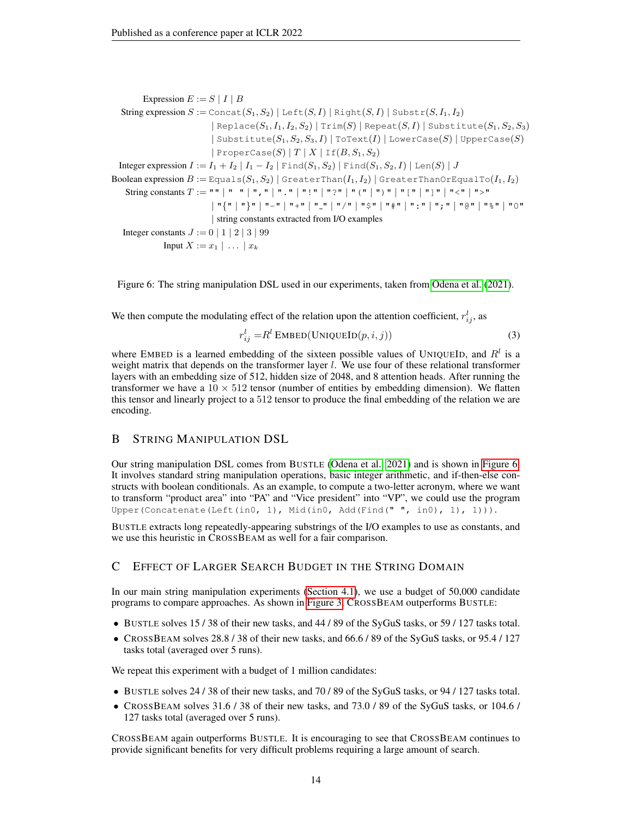Expression  $E := S | I | B$ String expression  $S := \text{Concat}(S_1, S_2) | \text{Left}(S, I) | \text{Right}(S, I) | \text{Substr}(S, I_1, I_2)$  $|$  Replace $(S_1, I_1, I_2, S_2)$  | Trim $(S)$  | Repeat $(S, I)$  | Substitute $(S_1, S_2, S_3)$ | Substitute $(S_1, S_2, S_3, I)$  | ToText $(I)$  | LowerCase $(S)$  | UpperCase $(S)$  $|$  ProperCase(S) | T | X | If(B,  $S_1, S_2$ ) Integer expression  $I := I_1 + I_2 | I_1 - I_2 |$  Find $(S_1, S_2) |$  Find $(S_1, S_2, I) |$  Len $(S) | J$ Boolean expression  $B := \text{Equals}(S_1, S_2)$  | GreaterThan $(I_1, I_2)$  | GreaterThanOrEqualTo $(I_1, I_2)$ String constants T := "" | " " | "," | "." | "!" | "?" | "(" | ")" | "[" | "]" | "<" | ">" | "{" | "}" | "-" | "+" | " " | "/" | "\$" | "#" | ":" | ";" | "@" | "%" | "0" | string constants extracted from I/O examples Integer constants  $J := 0 | 1 | 2 | 3 | 99$ Input  $X := x_1 \mid \ldots \mid x_k$ 

<span id="page-13-2"></span>Figure 6: The string manipulation DSL used in our experiments, taken from [Odena et al.](#page-11-3) [\(2021\)](#page-11-3).

We then compute the modulating effect of the relation upon the attention coefficient,  $r_{ij}^l$ , as

$$
r_{ij}^l = R^l \operatorname{EMBED}(\operatorname{UNIQUEID}(p, i, j)) \tag{3}
$$

where EMBED is a learned embedding of the sixteen possible values of UNIQUEID, and  $R<sup>l</sup>$  is a weight matrix that depends on the transformer layer  $l$ . We use four of these relational transformer layers with an embedding size of 512, hidden size of 2048, and 8 attention heads. After running the transformer we have a  $10 \times 512$  tensor (number of entities by embedding dimension). We flatten this tensor and linearly project to a 512 tensor to produce the final embedding of the relation we are encoding.

# <span id="page-13-0"></span>B STRING MANIPULATION DSL

Our string manipulation DSL comes from BUSTLE [\(Odena et al., 2021\)](#page-11-3) and is shown in [Figure 6.](#page-13-2) It involves standard string manipulation operations, basic integer arithmetic, and if-then-else constructs with boolean conditionals. As an example, to compute a two-letter acronym, where we want to transform "product area" into "PA" and "Vice president" into "VP", we could use the program Upper(Concatenate(Left(in0, 1), Mid(in0, Add(Find(" ", in0), 1), 1))).

BUSTLE extracts long repeatedly-appearing substrings of the I/O examples to use as constants, and we use this heuristic in CROSSBEAM as well for a fair comparison.

## <span id="page-13-1"></span>C EFFECT OF LARGER SEARCH BUDGET IN THE STRING DOMAIN

In our main string manipulation experiments [\(Section 4.1\)](#page-5-1), we use a budget of 50,000 candidate programs to compare approaches. As shown in [Figure 3,](#page-5-0) CROSSBEAM outperforms BUSTLE:

- BUSTLE solves 15 / 38 of their new tasks, and 44 / 89 of the SyGuS tasks, or 59 / 127 tasks total.
- CROSSBEAM solves 28.8 / 38 of their new tasks, and 66.6 / 89 of the SyGuS tasks, or 95.4 / 127 tasks total (averaged over 5 runs).

We repeat this experiment with a budget of 1 million candidates:

- BUSTLE solves 24 / 38 of their new tasks, and 70 / 89 of the SyGuS tasks, or 94 / 127 tasks total.
- CROSSBEAM solves 31.6 / 38 of their new tasks, and 73.0 / 89 of the SyGuS tasks, or 104.6 / 127 tasks total (averaged over 5 runs).

CROSSBEAM again outperforms BUSTLE. It is encouraging to see that CROSSBEAM continues to provide significant benefits for very difficult problems requiring a large amount of search.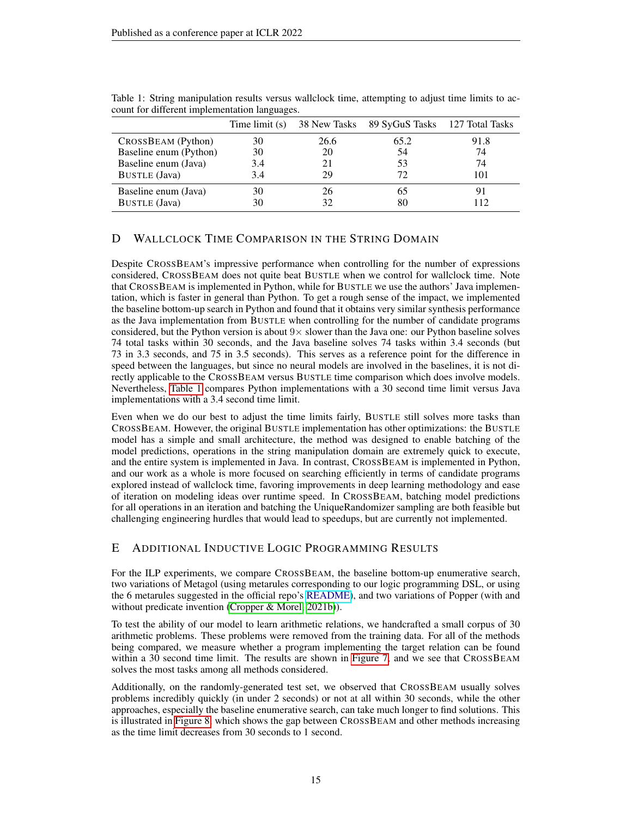|                        | Time limit (s) |      | 38 New Tasks 89 SyGuS Tasks 127 Total Tasks |      |
|------------------------|----------------|------|---------------------------------------------|------|
| CROSSBEAM (Python)     | 30             | 26.6 | 65.2                                        | 91.8 |
| Baseline enum (Python) | 30             | 20   | 54                                          | 74   |
| Baseline enum (Java)   | 3.4            | 21   | 53                                          | 74   |
| <b>BUSTLE</b> (Java)   | 3.4            | 29   | 72                                          | 101  |
| Baseline enum (Java)   | 30             | 26   |                                             |      |
| <b>BUSTLE</b> (Java)   | 30             |      |                                             |      |

<span id="page-14-2"></span>Table 1: String manipulation results versus wallclock time, attempting to adjust time limits to account for different implementation languages.

# <span id="page-14-0"></span>D WALLCLOCK TIME COMPARISON IN THE STRING DOMAIN

Despite CROSSBEAM's impressive performance when controlling for the number of expressions considered, CROSSBEAM does not quite beat BUSTLE when we control for wallclock time. Note that CROSSBEAM is implemented in Python, while for BUSTLE we use the authors' Java implementation, which is faster in general than Python. To get a rough sense of the impact, we implemented the baseline bottom-up search in Python and found that it obtains very similar synthesis performance as the Java implementation from BUSTLE when controlling for the number of candidate programs considered, but the Python version is about  $9 \times$  slower than the Java one: our Python baseline solves 74 total tasks within 30 seconds, and the Java baseline solves 74 tasks within 3.4 seconds (but 73 in 3.3 seconds, and 75 in 3.5 seconds). This serves as a reference point for the difference in speed between the languages, but since no neural models are involved in the baselines, it is not directly applicable to the CROSSBEAM versus BUSTLE time comparison which does involve models. Nevertheless, [Table 1](#page-14-2) compares Python implementations with a 30 second time limit versus Java implementations with a 3.4 second time limit.

Even when we do our best to adjust the time limits fairly, BUSTLE still solves more tasks than CROSSBEAM. However, the original BUSTLE implementation has other optimizations: the BUSTLE model has a simple and small architecture, the method was designed to enable batching of the model predictions, operations in the string manipulation domain are extremely quick to execute, and the entire system is implemented in Java. In contrast, CROSSBEAM is implemented in Python, and our work as a whole is more focused on searching efficiently in terms of candidate programs explored instead of wallclock time, favoring improvements in deep learning methodology and ease of iteration on modeling ideas over runtime speed. In CROSSBEAM, batching model predictions for all operations in an iteration and batching the UniqueRandomizer sampling are both feasible but challenging engineering hurdles that would lead to speedups, but are currently not implemented.

# <span id="page-14-1"></span>E ADDITIONAL INDUCTIVE LOGIC PROGRAMMING RESULTS

For the ILP experiments, we compare CROSSBEAM, the baseline bottom-up enumerative search, two variations of Metagol (using metarules corresponding to our logic programming DSL, or using the 6 metarules suggested in the official repo's [README\)](https://github.com/metagol/metagol/blob/master/README.md), and two variations of Popper (with and without predicate invention [\(Cropper & Morel, 2021b\)](#page-9-13)).

To test the ability of our model to learn arithmetic relations, we handcrafted a small corpus of 30 arithmetic problems. These problems were removed from the training data. For all of the methods being compared, we measure whether a program implementing the target relation can be found within a 30 second time limit. The results are shown in [Figure 7,](#page-15-0) and we see that CROSSBEAM solves the most tasks among all methods considered.

Additionally, on the randomly-generated test set, we observed that CROSSBEAM usually solves problems incredibly quickly (in under 2 seconds) or not at all within 30 seconds, while the other approaches, especially the baseline enumerative search, can take much longer to find solutions. This is illustrated in [Figure 8,](#page-16-0) which shows the gap between CROSSBEAM and other methods increasing as the time limit decreases from 30 seconds to 1 second.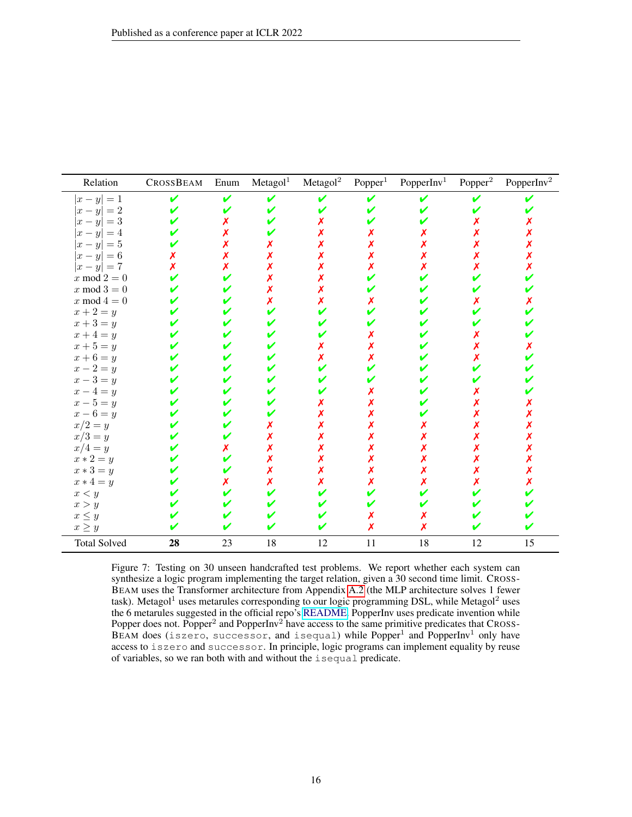| Relation                     | CROSSBEAM | Enum | Metagol <sup>1</sup> | Metagol <sup>2</sup> | Popper <sup>1</sup> | PopperInv <sup>1</sup> | Popper <sup>2</sup> | PopperInv <sup>2</sup> |
|------------------------------|-----------|------|----------------------|----------------------|---------------------|------------------------|---------------------|------------------------|
| $ x-y =1$                    | V         | ✔    | ✔                    |                      | V                   | v                      |                     |                        |
| $ x - y  = 2$                |           |      |                      |                      |                     |                        |                     |                        |
| $ x-y =3$                    |           |      |                      |                      |                     |                        |                     |                        |
| $ x-y =4$                    |           |      |                      |                      |                     |                        |                     |                        |
| $ x-y =5$                    |           |      |                      |                      |                     |                        |                     |                        |
| $ x-y =6$                    |           |      |                      |                      |                     |                        |                     |                        |
| $ x-y =7$                    |           |      |                      |                      |                     |                        |                     |                        |
| $\boldsymbol{x} \bmod 2 = 0$ |           |      |                      |                      |                     |                        |                     |                        |
| $\boldsymbol{x} \bmod 3 = 0$ |           |      |                      |                      |                     |                        |                     |                        |
| $x \bmod 4 = 0$              |           |      |                      |                      |                     |                        |                     |                        |
| $x+2=y$                      |           |      |                      |                      |                     |                        |                     |                        |
| $x+3=y$                      |           |      |                      |                      |                     |                        |                     |                        |
| $x+4=y$                      |           |      |                      |                      |                     |                        |                     |                        |
| $x+5=y$                      |           |      |                      |                      |                     |                        |                     |                        |
| $x+6=y$                      |           |      |                      | Х                    |                     |                        |                     |                        |
| $x-2=y$                      |           |      |                      |                      |                     |                        |                     |                        |
| $x-3=y$                      |           |      |                      |                      |                     |                        |                     |                        |
| $x-4=y$                      |           |      |                      |                      |                     |                        |                     |                        |
| $x-5=y$                      |           |      |                      |                      |                     |                        |                     |                        |
| $x-6=y$                      |           |      |                      |                      |                     |                        |                     |                        |
| $x/2=y$                      |           |      |                      |                      |                     |                        |                     |                        |
| $x/3=y$                      |           |      |                      |                      |                     |                        |                     |                        |
| $x/4=y$                      |           |      |                      |                      |                     |                        |                     |                        |
| $x * 2 = y$                  |           |      |                      |                      |                     |                        |                     |                        |
| $x * 3 = y$                  |           |      |                      |                      |                     |                        |                     |                        |
| $x * 4 = y$                  |           |      | x                    |                      |                     |                        |                     |                        |
| x < y                        |           |      |                      |                      |                     |                        |                     |                        |
| x > y                        |           |      |                      |                      |                     |                        |                     |                        |
| $x\leq y$                    |           |      |                      |                      |                     |                        |                     |                        |
| $x\geq y$                    |           |      |                      |                      |                     | х                      |                     |                        |
| <b>Total Solved</b>          | 28        | 23   | 18                   | 12                   | 11                  | $18\,$                 | 12                  | 15                     |

<span id="page-15-0"></span>Figure 7: Testing on 30 unseen handcrafted test problems. We report whether each system can synthesize a logic program implementing the target relation, given a 30 second time limit. CROSS-BEAM uses the Transformer architecture from Appendix [A.2](#page-12-1) (the MLP architecture solves 1 fewer task). Metagol<sup>1</sup> uses metarules corresponding to our logic programming DSL, while Metagol<sup>2</sup> uses the 6 metarules suggested in the official repo's [README.](https://github.com/metagol/metagol/blob/master/README.md) PopperInv uses predicate invention while Popper does not. Popper<sup>2</sup> and PopperInv<sup>2</sup> have access to the same primitive predicates that CROSS-BEAM does (iszero, successor, and isequal) while Popper<sup>1</sup> and PopperInv<sup>1</sup> only have access to iszero and successor. In principle, logic programs can implement equality by reuse of variables, so we ran both with and without the isequal predicate.